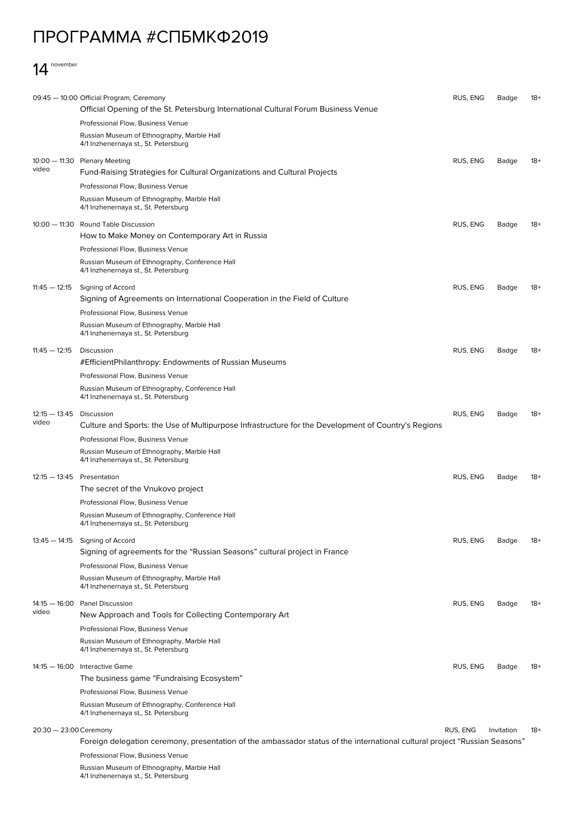## ПРОГРАММА #СПБМКФ2019

## 14 november

|                                                  | 09:45 - 10:00 Official Program, Ceremony                                                                                   | RUS, ENG | Badge | $18+$ |
|--------------------------------------------------|----------------------------------------------------------------------------------------------------------------------------|----------|-------|-------|
|                                                  | Official Opening of the St. Petersburg International Cultural Forum Business Venue                                         |          |       |       |
|                                                  | Professional Flow, Business Venue                                                                                          |          |       |       |
|                                                  | Russian Museum of Ethnography, Marble Hall<br>4/1 Inzhenernaya st., St. Petersburg                                         |          |       |       |
|                                                  | 10:00 - 11:30 Plenary Meeting                                                                                              | RUS, ENG | Badge | $18+$ |
| video                                            | Fund-Raising Strategies for Cultural Organizations and Cultural Projects                                                   |          |       |       |
|                                                  | Professional Flow, Business Venue                                                                                          |          |       |       |
|                                                  | Russian Museum of Ethnography, Marble Hall                                                                                 |          |       |       |
|                                                  | 4/1 Inzhenernaya st., St. Petersburg                                                                                       |          |       |       |
|                                                  | 10:00 - 11:30 Round Table Discussion                                                                                       | RUS, ENG | Badge | $18+$ |
|                                                  | How to Make Money on Contemporary Art in Russia                                                                            |          |       |       |
|                                                  | Professional Flow, Business Venue                                                                                          |          |       |       |
|                                                  | Russian Museum of Ethnography, Conference Hall<br>4/1 Inzhenernaya st., St. Petersburg                                     |          |       |       |
| $11:45 - 12:15$                                  | Signing of Accord                                                                                                          | RUS, ENG | Badge | 18+   |
|                                                  | Signing of Agreements on International Cooperation in the Field of Culture                                                 |          |       |       |
|                                                  | Professional Flow, Business Venue                                                                                          |          |       |       |
|                                                  | Russian Museum of Ethnography, Marble Hall                                                                                 |          |       |       |
|                                                  | 4/1 Inzhenernaya st., St. Petersburg                                                                                       |          |       |       |
| $11:45 - 12:15$                                  | Discussion                                                                                                                 | RUS, ENG | Badge | $18+$ |
|                                                  | #EfficientPhilanthropy: Endowments of Russian Museums                                                                      |          |       |       |
|                                                  | Professional Flow, Business Venue                                                                                          |          |       |       |
|                                                  | Russian Museum of Ethnography, Conference Hall<br>4/1 Inzhenernaya st., St. Petersburg                                     |          |       |       |
| $12:15 - 13:45$<br>video                         | Discussion                                                                                                                 | RUS, ENG | Badge | $18+$ |
|                                                  | Culture and Sports: the Use of Multipurpose Infrastructure for the Development of Country's Regions                        |          |       |       |
|                                                  | Professional Flow, Business Venue                                                                                          |          |       |       |
|                                                  | Russian Museum of Ethnography, Marble Hall<br>4/1 Inzhenernaya st., St. Petersburg                                         |          |       |       |
| $12:15 - 13:45$ Presentation                     |                                                                                                                            | RUS, ENG | Badge | 18+   |
|                                                  | The secret of the Vnukovo project                                                                                          |          |       |       |
|                                                  | Professional Flow, Business Venue                                                                                          |          |       |       |
|                                                  | Russian Museum of Ethnography, Conference Hall<br>4/1 Inzhenernaya st., St. Petersburg                                     |          |       |       |
|                                                  | 13:45 - 14:15 Signing of Accord                                                                                            | RUS, ENG | Badge | 18+   |
|                                                  | Signing of agreements for the "Russian Seasons" cultural project in France                                                 |          |       |       |
|                                                  | Professional Flow, Business Venue                                                                                          |          |       |       |
|                                                  | Russian Museum of Ethnography, Marble Hall<br>4/1 Inzhenernaya st., St. Petersburg                                         |          |       |       |
| $14:15 - 16:00$                                  | <b>Panel Discussion</b>                                                                                                    | RUS, ENG | Badge | $18+$ |
| video                                            | New Approach and Tools for Collecting Contemporary Art                                                                     |          |       |       |
|                                                  | Professional Flow, Business Venue                                                                                          |          |       |       |
|                                                  | Russian Museum of Ethnography, Marble Hall                                                                                 |          |       |       |
|                                                  | 4/1 Inzhenernaya st., St. Petersburg                                                                                       |          |       |       |
|                                                  | 14:15 - 16:00 Interactive Game                                                                                             | RUS, ENG | Badge | 18+   |
|                                                  | The business game "Fundraising Ecosystem"                                                                                  |          |       |       |
|                                                  | Professional Flow, Business Venue                                                                                          |          |       |       |
|                                                  | Russian Museum of Ethnography, Conference Hall<br>4/1 Inzhenernaya st., St. Petersburg                                     |          |       |       |
| 20:30 - 23:00 Ceremony<br>RUS, ENG<br>Invitation |                                                                                                                            |          |       | $18+$ |
|                                                  | Foreign delegation ceremony, presentation of the ambassador status of the international cultural project "Russian Seasons" |          |       |       |
|                                                  | Professional Flow, Business Venue                                                                                          |          |       |       |
|                                                  | Russian Museum of Ethnography, Marble Hall                                                                                 |          |       |       |

4/1 Inzhenernaya st., St. Petersburg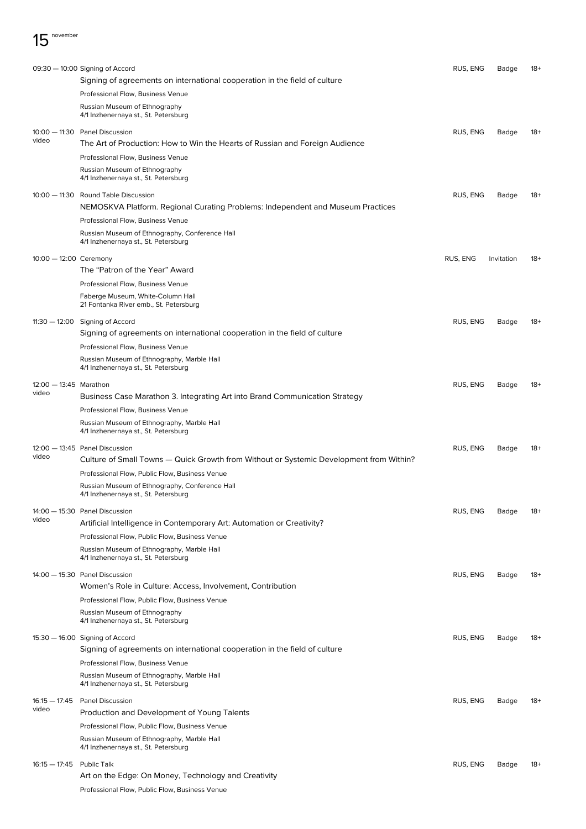|                           | 09:30 - 10:00 Signing of Accord                                                         | RUS, ENG | Badge      | $18+$ |
|---------------------------|-----------------------------------------------------------------------------------------|----------|------------|-------|
|                           | Signing of agreements on international cooperation in the field of culture              |          |            |       |
|                           | Professional Flow, Business Venue                                                       |          |            |       |
|                           | Russian Museum of Ethnography                                                           |          |            |       |
|                           | 4/1 Inzhenernaya st., St. Petersburg                                                    |          |            |       |
|                           | 10:00 - 11:30 Panel Discussion                                                          | RUS, ENG | Badge      | 18+   |
| video                     | The Art of Production: How to Win the Hearts of Russian and Foreign Audience            |          |            |       |
|                           | Professional Flow, Business Venue                                                       |          |            |       |
|                           | Russian Museum of Ethnography                                                           |          |            |       |
|                           | 4/1 Inzhenernaya st., St. Petersburg                                                    |          |            |       |
|                           | 10:00 - 11:30 Round Table Discussion                                                    | RUS, ENG | Badge      | 18+   |
|                           | NEMOSKVA Platform. Regional Curating Problems: Independent and Museum Practices         |          |            |       |
|                           | Professional Flow, Business Venue                                                       |          |            |       |
|                           | Russian Museum of Ethnography, Conference Hall                                          |          |            |       |
|                           | 4/1 Inzhenernaya st., St. Petersburg                                                    |          |            |       |
| $10:00 - 12:00$ Ceremony  |                                                                                         | RUS, ENG | Invitation | 18+   |
|                           | The "Patron of the Year" Award                                                          |          |            |       |
|                           | Professional Flow, Business Venue                                                       |          |            |       |
|                           | Faberge Museum, White-Column Hall                                                       |          |            |       |
|                           | 21 Fontanka River emb., St. Petersburg                                                  |          |            |       |
|                           | 11:30 - 12:00 Signing of Accord                                                         | RUS, ENG | Badge      | $18+$ |
|                           | Signing of agreements on international cooperation in the field of culture              |          |            |       |
|                           | Professional Flow, Business Venue                                                       |          |            |       |
|                           | Russian Museum of Ethnography, Marble Hall<br>4/1 Inzhenernaya st., St. Petersburg      |          |            |       |
|                           |                                                                                         |          |            |       |
| $12:00 - 13:45$ Marathon  |                                                                                         | RUS, ENG | Badge      | 18+   |
| video                     | Business Case Marathon 3. Integrating Art into Brand Communication Strategy             |          |            |       |
|                           | Professional Flow, Business Venue                                                       |          |            |       |
|                           | Russian Museum of Ethnography, Marble Hall                                              |          |            |       |
|                           | 4/1 Inzhenernaya st., St. Petersburg                                                    |          |            |       |
|                           | 12:00 - 13:45 Panel Discussion                                                          | RUS, ENG | Badge      | 18+   |
| video                     | Culture of Small Towns - Quick Growth from Without or Systemic Development from Within? |          |            |       |
|                           | Professional Flow, Public Flow, Business Venue                                          |          |            |       |
|                           | Russian Museum of Ethnography, Conference Hall                                          |          |            |       |
|                           | 4/1 Inzhenernaya st., St. Petersburg                                                    |          |            |       |
|                           | 14:00 - 15:30 Panel Discussion                                                          | RUS, ENG | Badge      | 18+   |
| video                     | Artificial Intelligence in Contemporary Art: Automation or Creativity?                  |          |            |       |
|                           | Professional Flow, Public Flow, Business Venue                                          |          |            |       |
|                           | Russian Museum of Ethnography, Marble Hall                                              |          |            |       |
|                           | 4/1 Inzhenernaya st., St. Petersburg                                                    |          |            |       |
|                           | 14:00 - 15:30 Panel Discussion                                                          | RUS, ENG | Badge      | 18+   |
|                           | Women's Role in Culture: Access, Involvement, Contribution                              |          |            |       |
|                           | Professional Flow, Public Flow, Business Venue                                          |          |            |       |
|                           | Russian Museum of Ethnography                                                           |          |            |       |
|                           | 4/1 Inzhenernaya st., St. Petersburg                                                    |          |            |       |
|                           | 15:30 - 16:00 Signing of Accord                                                         | RUS, ENG | Badge      | 18+   |
|                           | Signing of agreements on international cooperation in the field of culture              |          |            |       |
|                           | Professional Flow, Business Venue                                                       |          |            |       |
|                           | Russian Museum of Ethnography, Marble Hall                                              |          |            |       |
|                           | 4/1 Inzhenernaya st., St. Petersburg                                                    |          |            |       |
|                           | 16:15 - 17:45 Panel Discussion                                                          | RUS, ENG | Badge      | 18+   |
| video                     | Production and Development of Young Talents                                             |          |            |       |
|                           | Professional Flow, Public Flow, Business Venue                                          |          |            |       |
|                           | Russian Museum of Ethnography, Marble Hall                                              |          |            |       |
|                           | 4/1 Inzhenernaya st., St. Petersburg                                                    |          |            |       |
| 16:15 - 17:45 Public Talk |                                                                                         | RUS, ENG | Badge      | 18+   |
|                           | Art on the Edge: On Money, Technology and Creativity                                    |          |            |       |
|                           | Professional Flow, Public Flow, Business Venue                                          |          |            |       |
|                           |                                                                                         |          |            |       |